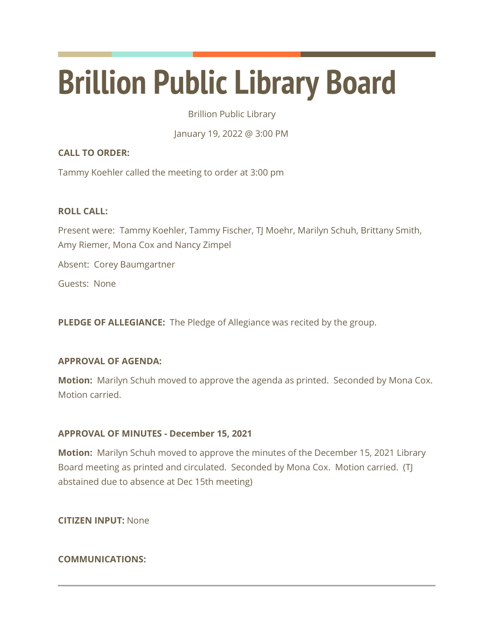# **Brillion Public Library Board**

Brillion Public Library

January 19, 2022 @ 3:00 PM

# **CALL TO ORDER:**

Tammy Koehler called the meeting to order at 3:00 pm

# **ROLL CALL:**

Present were: Tammy Koehler, Tammy Fischer, TJ Moehr, Marilyn Schuh, Brittany Smith, Amy Riemer, Mona Cox and Nancy Zimpel

Absent: Corey Baumgartner

Guests: None

**PLEDGE OF ALLEGIANCE:** The Pledge of Allegiance was recited by the group.

## **APPROVAL OF AGENDA:**

**Motion:** Marilyn Schuh moved to approve the agenda as printed. Seconded by Mona Cox. Motion carried.

## **APPROVAL OF MINUTES - December 15, 2021**

**Motion:** Marilyn Schuh moved to approve the minutes of the December 15, 2021 Library Board meeting as printed and circulated. Seconded by Mona Cox. Motion carried. (TJ abstained due to absence at Dec 15th meeting)

**CITIZEN INPUT:** None

# **COMMUNICATIONS:**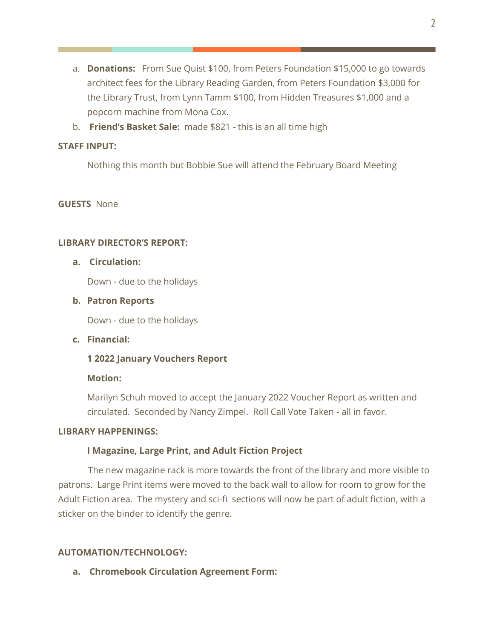- a. **Donations:** From Sue Quist \$100, from Peters Foundation \$15,000 to go towards architect fees for the Library Reading Garden, from Peters Foundation \$3,000 for the Library Trust, from Lynn Tamm \$100, from Hidden Treasures \$1,000 and a popcorn machine from Mona Cox.
- b. **Friend's Basket Sale:** made \$821 this is an all time high

## **STAFF INPUT:**

Nothing this month but Bobbie Sue will attend the February Board Meeting

## **GUESTS** None

## **LIBRARY DIRECTOR'S REPORT:**

## **a. Circulation:**

Down - due to the holidays

## **b. Patron Reports**

Down - due to the holidays

## **c. Financial:**

# **1 2022 January Vouchers Report**

## **Motion:**

Marilyn Schuh moved to accept the January 2022 Voucher Report as written and circulated. Seconded by Nancy Zimpel. Roll Call Vote Taken - all in favor.

#### **LIBRARY HAPPENINGS:**

## **I Magazine, Large Print, and Adult Fiction Project**

 The new magazine rack is more towards the front of the library and more visible to patrons. Large Print items were moved to the back wall to allow for room to grow for the Adult Fiction area. The mystery and sci-fi sections will now be part of adult fiction, with a sticker on the binder to identify the genre.

## **AUTOMATION/TECHNOLOGY:**

**a. Chromebook Circulation Agreement Form:**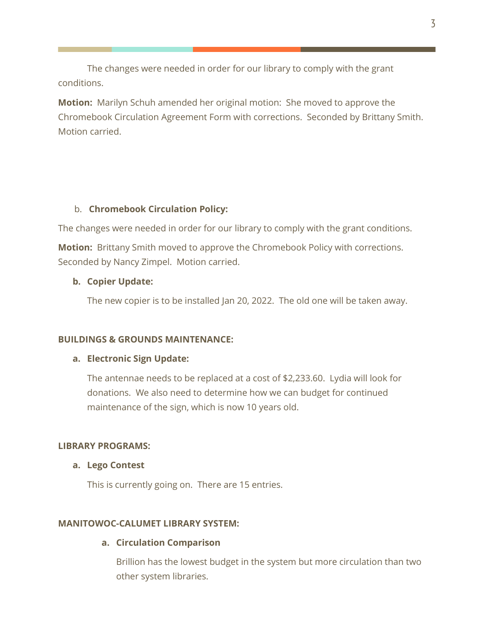The changes were needed in order for our library to comply with the grant conditions.

**Motion:** Marilyn Schuh amended her original motion: She moved to approve the Chromebook Circulation Agreement Form with corrections. Seconded by Brittany Smith. Motion carried.

## b. **Chromebook Circulation Policy:**

The changes were needed in order for our library to comply with the grant conditions.

**Motion:** Brittany Smith moved to approve the Chromebook Policy with corrections. Seconded by Nancy Zimpel. Motion carried.

#### **b. Copier Update:**

The new copier is to be installed Jan 20, 2022. The old one will be taken away.

#### **BUILDINGS & GROUNDS MAINTENANCE:**

#### **a. Electronic Sign Update:**

The antennae needs to be replaced at a cost of \$2,233.60. Lydia will look for donations. We also need to determine how we can budget for continued maintenance of the sign, which is now 10 years old.

#### **LIBRARY PROGRAMS:**

#### **a. Lego Contest**

This is currently going on. There are 15 entries.

### **MANITOWOC-CALUMET LIBRARY SYSTEM:**

#### **a. Circulation Comparison**

Brillion has the lowest budget in the system but more circulation than two other system libraries.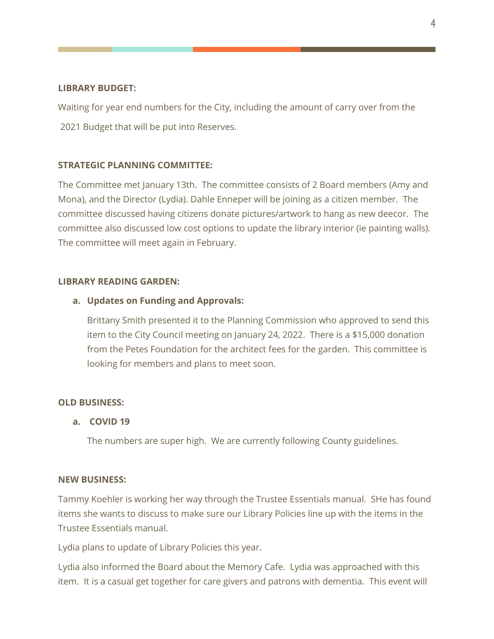### **LIBRARY BUDGET:**

Waiting for year end numbers for the City, including the amount of carry over from the 2021 Budget that will be put into Reserves.

### **STRATEGIC PLANNING COMMITTEE:**

The Committee met January 13th. The committee consists of 2 Board members (Amy and Mona), and the Director (Lydia). Dahle Enneper will be joining as a citizen member. The committee discussed having citizens donate pictures/artwork to hang as new deecor. The committee also discussed low cost options to update the library interior (ie painting walls). The committee will meet again in February.

### **LIBRARY READING GARDEN:**

### **a. Updates on Funding and Approvals:**

Brittany Smith presented it to the Planning Commission who approved to send this item to the City Council meeting on January 24, 2022. There is a \$15,000 donation from the Petes Foundation for the architect fees for the garden. This committee is looking for members and plans to meet soon.

#### **OLD BUSINESS:**

#### **a. COVID 19**

The numbers are super high. We are currently following County guidelines.

#### **NEW BUSINESS:**

Tammy Koehler is working her way through the Trustee Essentials manual. SHe has found items she wants to discuss to make sure our Library Policies line up with the items in the Trustee Essentials manual.

Lydia plans to update of Library Policies this year.

Lydia also informed the Board about the Memory Cafe. Lydia was approached with this item. It is a casual get together for care givers and patrons with dementia. This event will